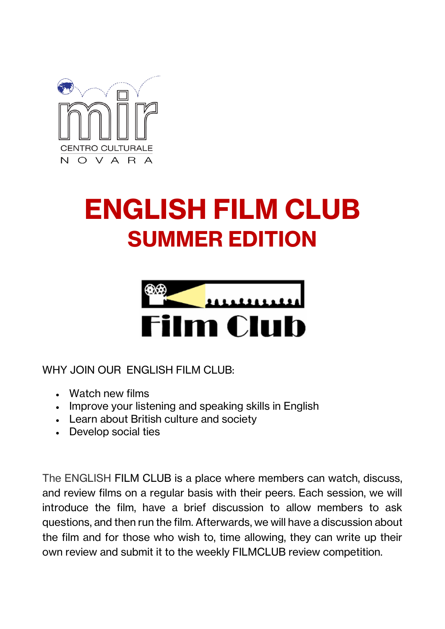

## **ENGLISH FILM CLUB SUMMER EDITION**



WHY JOIN OUR ENGLISH FILM CLUB:

- Watch new films
- Improve your listening and speaking skills in English
- Learn about British culture and society
- Develop social ties

The ENGLISH FILM CLUB is a place where members can watch, discuss, and review films on a regular basis with their peers. Each session, we will introduce the film, have a brief discussion to allow members to ask questions, and then run the film. Afterwards, we will have a discussion about the film and for those who wish to, time allowing, they can write up their own review and submit it to the weekly FILMCLUB review competition.